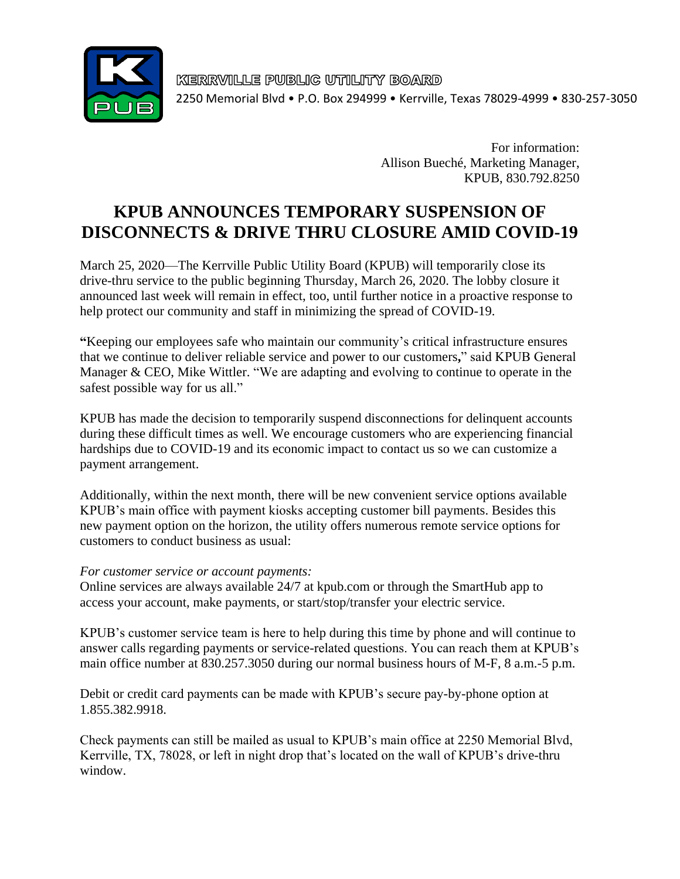

KERRVILLE PUBLIC UTILITY BOARD 2250 Memorial Blvd • P.O. Box 294999 • Kerrville, Texas 78029-4999 • 830-257-3050

> For information: Allison Bueché, Marketing Manager, KPUB, 830.792.8250

# **KPUB ANNOUNCES TEMPORARY SUSPENSION OF DISCONNECTS & DRIVE THRU CLOSURE AMID COVID-19**

March 25, 2020—The Kerrville Public Utility Board (KPUB) will temporarily close its drive-thru service to the public beginning Thursday, March 26, 2020. The lobby closure it announced last week will remain in effect, too, until further notice in a proactive response to help protect our community and staff in minimizing the spread of COVID-19.

**"**Keeping our employees safe who maintain our community's critical infrastructure ensures that we continue to deliver reliable service and power to our customers**,**" said KPUB General Manager & CEO, Mike Wittler. "We are adapting and evolving to continue to operate in the safest possible way for us all."

KPUB has made the decision to temporarily suspend disconnections for delinquent accounts during these difficult times as well. We encourage customers who are experiencing financial hardships due to COVID-19 and its economic impact to contact us so we can customize a payment arrangement.

Additionally, within the next month, there will be new convenient service options available KPUB's main office with payment kiosks accepting customer bill payments. Besides this new payment option on the horizon, the utility offers numerous remote service options for customers to conduct business as usual:

#### *For customer service or account payments:*

Online services are always available 24/7 at kpub.com or through the SmartHub app to access your account, make payments, or start/stop/transfer your electric service.

KPUB's customer service team is here to help during this time by phone and will continue to answer calls regarding payments or service-related questions. You can reach them at KPUB's main office number at 830.257.3050 during our normal business hours of M-F, 8 a.m.-5 p.m.

Debit or credit card payments can be made with KPUB's secure pay-by-phone option at 1.855.382.9918.

Check payments can still be mailed as usual to KPUB's main office at 2250 Memorial Blvd, Kerrville, TX, 78028, or left in night drop that's located on the wall of KPUB's drive-thru window.